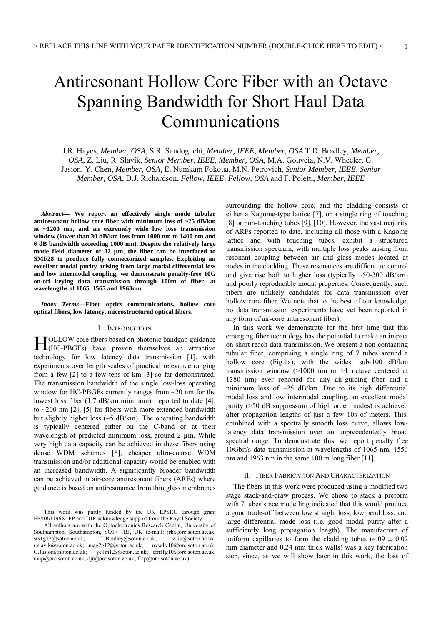# Antiresonant Hollow Core Fiber with an Octave Spanning Bandwidth for Short Haul Data Communications

J.R. Hayes, *Member, OSA,* S.R. Sandoghchi, *Member, IEEE*, *Member, OSA* T.D. Bradley, *Member, OSA*, Z. Liu, R. Slavík, *Senior Member, IEEE, Member, OSA*, M.A. Gouveia, N.V. Wheeler, G. Jasion, Y. Chen, *Member, OSA,* E. Numkam Fokoua, M.N. Petrovich, *Senior Member, IEEE, Senior Member, OSA*, D.J. Richardson, *Fellow, IEEE, Fellow, OSA* and F. Poletti, *Member, IEEE*

*Abstract***— We report an effectively single mode tubular antiresonant hollow core fiber with minimum loss of ~25 dB/km at ~1200 nm, and an extremely wide low loss transmission window (lower than 30 dB/km loss from 1000 nm to 1400 nm and 6 dB bandwidth exceeding 1000 nm). Despite the relatively large mode field diameter of 32 µm, the fiber can be interfaced to SMF28 to produce fully connectorized samples. Exploiting an excellent modal purity arising from large modal differential loss and low intermodal coupling, we demonstrate penalty-free 10G on-off keying data transmission through 100m of fiber, at wavelengths of 1065, 1565 and 1963nm.** 

*Index Terms***—Fiber optics communications, hollow core optical fibers, low latency, microstructured optical fibers.** 

### I. INTRODUCTION

TOLLOW core fibers based on photonic bandgap guidance HOLLOW core fibers based on photonic bandgap guidance<br>
H(HC-PBGFs) have proven themselves an attractive technology for low latency data transmission [1], with experiments over length scales of practical relevance ranging from a few [2] to a few tens of km [3] so far demonstrated. The transmission bandwidth of the single low-loss operating window for HC-PBGFs currently ranges from  $\sim$ 20 nm for the lowest loss fiber (1.7 dB/km minimum) reported to date [4], to  $\sim$  200 nm [2], [5] for fibers with more extended bandwidth but slightly higher loss (~5 dB/km). The operating bandwidth is typically centered either on the C-band or at their wavelength of predicted minimum loss, around 2 um. While very high data capacity can be achieved in these fibers using dense WDM schemes [6], cheaper ultra-coarse WDM transmission and/or additional capacity would be enabled with an increased bandwidth. A significantly broader bandwidth can be achieved in air-core antiresonant fibers (ARFs) where guidance is based on antiresonance from thin glass membranes

This work was partly funded by the UK EPSRC through grant EP/I061196X. FP and DJR acknowledge support from the Royal Society.

All authors are with the Optoelectronics Research Centre, University of Southampton, Southampton, SO17 1BJ, UK (e-mail: jrh@orc.soton.ac.uk;<br>srs1g12@soton.ac.uk; T.Bradley@soton.ac.uk; z.liu@soton.ac.uk; T.Bradley@soton.ac.uk; z.liu@soton.ac.uk; r.slavik@soton.ac.uk; mag2g12@soton.ac.uk; nvw1v10@orc.soton.ac.uk; G.Jasion@soton.ac.uk; yc1m12@soton.ac.uk; ernf1g10@orc.soton.ac.uk; mnp@orc.soton.ac.uk; djr@orc.soton.ac.uk; frap@orc.soton.ac.uk).

surrounding the hollow core, and the cladding consists of either a Kagome-type lattice [7], or a single ring of touching [8] or non-touching tubes [9], [10]. However, the vast majority of ARFs reported to date, including all those with a Kagome lattice and with touching tubes, exhibit a structured transmission spectrum, with multiple loss peaks arising from resonant coupling between air and glass modes located at nodes in the cladding. These resonances are difficult to control and give rise both to higher loss (typically  $\sim$ 50-300 dB/km) and poorly reproducible modal properties. Consequently, such fibers are unlikely candidates for data transmission over hollow core fiber. We note that to the best of our knowledge, no data transmission experiments have yet been reported in any form of air-core antiresonant fiber)..

In this work we demonstrate for the first time that this emerging fiber technology has the potential to make an impact on short reach data transmission. We present a non-contacting tubular fiber, comprising a single ring of 7 tubes around a hollow core (Fig.1a), with the widest sub-100 dB/km transmission window (>1000 nm or >1 octave centered at 1380 nm) ever reported for any air-guiding fiber and a minimum loss of  $\sim$ 25 dB/km. Due to its high differential modal loss and low intermodal coupling, an excellent modal purity (>50 dB suppression of high order modes) is achieved after propagation lengths of just a few 10s of meters. This, combined with a spectrally smooth loss curve, allows lowlatency data transmission over an unprecedentedly broad spectral range. To demonstrate this, we report penalty free 10Gbit/s data transmission at wavelengths of 1065 nm, 1556 nm and 1963 nm in the same 100 m long fiber [11].

## II. FIBER FABRICATION AND CHARACTERIZATION

The fibers in this work were produced using a modified two stage stack-and-draw process. We chose to stack a preform with 7 tubes since modelling indicated that this would produce a good trade-off between low straight loss, low bend loss, and large differential mode loss (i.e. good modal purity after a sufficiently long propagation length). The manufacture of uniform capillaries to form the cladding tubes  $(4.09 \pm 0.02)$ mm diameter and 0.24 mm thick walls) was a key fabrication step, since, as we will show later in this work, the loss of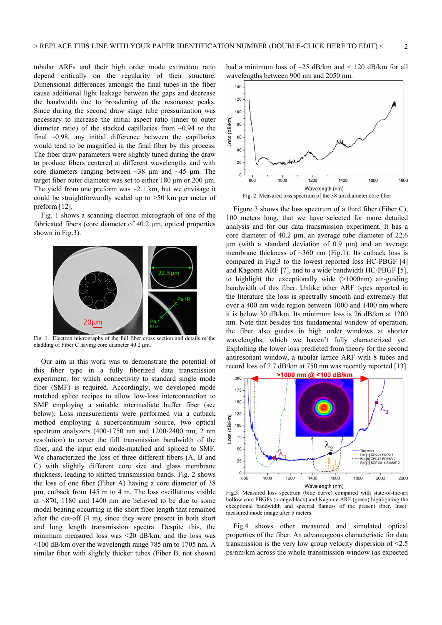tubular ARFs and their high order mode extinction ratio depend critically on the regularity of their structure. Dimensional differences amongst the final tubes in the fiber cause additional light leakage between the gaps and decrease the bandwidth due to broadening of the resonance peaks. Since during the second draw stage tube pressurization was necessary to increase the initial aspect ratio (inner to outer diameter ratio) of the stacked capillaries from  $\sim 0.94$  to the final  $\sim$ 0.98, any initial difference between the capillaries would tend to be magnified in the final fiber by this process. The fiber draw parameters were slightly tuned during the draw to produce fibers centered at different wavelengths and with core diameters ranging between  $\sim$ 38 μm and  $\sim$ 45 μm. The target fiber outer diameter was set to either 180 μm or 200 μm. The yield from one preform was  $\sim$ 2.1 km, but we envisage it could be straightforwardly scaled up to >50 km per meter of preform [12].

Fig. 1 shows a scanning electron micrograph of one of the fabricated fibers (core diameter of 40.2 μm, optical properties shown in Fig.3).



Fig. 1. Electron micrographs of the full fiber cross section and details of the cladding of Fiber C having core diameter 40.2 μm.

Our aim in this work was to demonstrate the potential of this fiber type in a fully fiberized data transmission experiment, for which connectivity to standard single mode fiber (SMF) is required. Accordingly, we developed mode matched splice recipes to allow low-loss interconnection to SMF employing a suitable intermediate buffer fiber (see below). Loss measurements were performed via a cutback method employing a supercontinuum source, two optical spectrum analyzers (400-1750 nm and 1200-2400 nm, 2 nm resolution) to cover the full transmission bandwidth of the fiber, and the input end mode-matched and spliced to SMF. We characterized the loss of three different fibers (A, B and C) with slightly different core size and glass membrane thickness, leading to shifted transmission bands. Fig. 2 shows the loss of one fiber (Fiber A) having a core diameter of 38 μm, cutback from 145 m to 4 m. The loss oscillations visible at ~870, 1180 and 1400 nm are believed to be due to some modal beating occurring in the short fiber length that remained after the cut-off (4 m), since they were present in both short and long length transmission spectra. Despite this, the minimum measured loss was <20 dB/km, and the loss was <100 dB/km over the wavelength range 785 nm to 1705 nm. A similar fiber with slightly thicker tubes (Fiber B, not shown) had a minimum loss of  $\sim$ 25 dB/km and < 120 dB/km for all wavelengths between 900 nm and 2050 nm.



Figure 3 shows the loss spectrum of a third fiber (Fiber C), 100 meters long, that we have selected for more detailed analysis and for our data transmission experiment. It has a core diameter of 40.2 μm, an average tube diameter of 22.6 μm (with a standard deviation of 0.9 μm) and an average membrane thickness of  $\sim$ 360 nm (Fig.1). Its cutback loss is compared in Fig.3 to the lowest reported loss HC-PBGF [4] and Kagome ARF [7], and to a wide bandwidth HC-PBGF [5], to highlight the exceptionally wide (>1000nm) air-guiding bandwidth of this fiber. Unlike other ARF types reported in the literature the loss is spectrally smooth and extremely flat over a 400 nm wide region between 1000 and 1400 nm where it is below 30 dB/km. Its minimum loss is 26 dB/km at 1200 nm. Note that besides this fundamental window of operation, the fiber also guides in high order windows at shorter wavelengths, which we haven't fully characterized yet. Exploiting the lower loss predicted from theory for the second antiresonant window, a tubular lattice ARF with 8 tubes and record loss of 7.7 dB/km at 750 nm was recently reported [13].



Fig.3. Measured loss spectrum (blue curve) compared with state-of-the-art hollow core PBGFs (orange/black) and Kagome ARF (green) highlighting the exceptional bandwidth and spectral flatness of the present fiber. Inset: measured mode image after 5 meters.

Fig.4 shows other measured and simulated optical properties of the fiber. An advantageous characteristic for data transmission is the very low group velocity dispersion of <2.5 ps/nm/km across the whole transmission window (as expected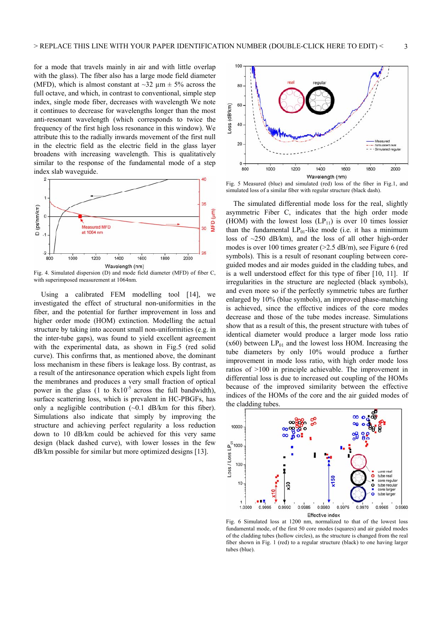for a mode that travels mainly in air and with little overlap with the glass). The fiber also has a large mode field diameter (MFD), which is almost constant at  $\sim$ 32  $\mu$ m  $\pm$  5% across the full octave, and which, in contrast to conventional, simple step index, single mode fiber, decreases with wavelength We note it continues to decrease for wavelengths longer than the most anti-resonant wavelength (which corresponds to twice the frequency of the first high loss resonance in this window). We attribute this to the radially inwards movement of the first null in the electric field as the electric field in the glass layer broadens with increasing wavelength. This is qualitatively similar to the response of the fundamental mode of a step index slab waveguide.



Fig. 4. Simulated dispersion (D) and mode field diameter (MFD) of fiber C, with superimposed measurement at 1064nm.

Using a calibrated FEM modelling tool [14], we investigated the effect of structural non-uniformities in the fiber, and the potential for further improvement in loss and higher order mode (HOM) extinction. Modelling the actual structure by taking into account small non-uniformities (e.g. in the inter-tube gaps), was found to yield excellent agreement with the experimental data, as shown in Fig.5 (red solid curve). This confirms that, as mentioned above, the dominant loss mechanism in these fibers is leakage loss. By contrast, as a result of the antiresonance operation which expels light from the membranes and produces a very small fraction of optical power in the glass  $(1 \text{ to } 8x10^{-5} \text{ across the full bandwidth})$ , surface scattering loss, which is prevalent in HC-PBGFs, has only a negligible contribution  $(\sim 0.1 \text{ dB/km}$  for this fiber). Simulations also indicate that simply by improving the structure and achieving perfect regularity a loss reduction down to 10 dB/km could be achieved for this very same design (black dashed curve), with lower losses in the few dB/km possible for similar but more optimized designs [13].



Fig. 5 Measured (blue) and simulated (red) loss of the fiber in Fig.1, and simulated loss of a similar fiber with regular structure (black dash).

The simulated differential mode loss for the real, slightly asymmetric Fiber C, indicates that the high order mode (HOM) with the lowest loss  $(LP_{11})$  is over 10 times lossier than the fundamental  $LP_{01}$ -like mode (i.e. it has a minimum loss of ~250 dB/km), and the loss of all other high-order modes is over 100 times greater (>2.5 dB/m), see Figure 6 (red symbols). This is a result of resonant coupling between coreguided modes and air modes guided in the cladding tubes, and is a well understood effect for this type of fiber [10, 11]. If irregularities in the structure are neglected (black symbols), and even more so if the perfectly symmetric tubes are further enlarged by 10% (blue symbols), an improved phase-matching is achieved, since the effective indices of the core modes decrease and those of the tube modes increase. Simulations show that as a result of this, the present structure with tubes of identical diameter would produce a larger mode loss ratio  $(x60)$  between  $LP_{01}$  and the lowest loss HOM. Increasing the tube diameters by only 10% would produce a further improvement in mode loss ratio, with high order mode loss ratios of >100 in principle achievable. The improvement in differential loss is due to increased out coupling of the HOMs because of the improved similarity between the effective indices of the HOMs of the core and the air guided modes of the cladding tubes.



Fig. 6 Simulated loss at 1200 nm, normalized to that of the lowest loss fundamental mode, of the first 50 core modes (squares) and air guided modes of the cladding tubes (hollow circles), as the structure is changed from the real fiber shown in Fig. 1 (red) to a regular structure (black) to one having larger tubes (blue).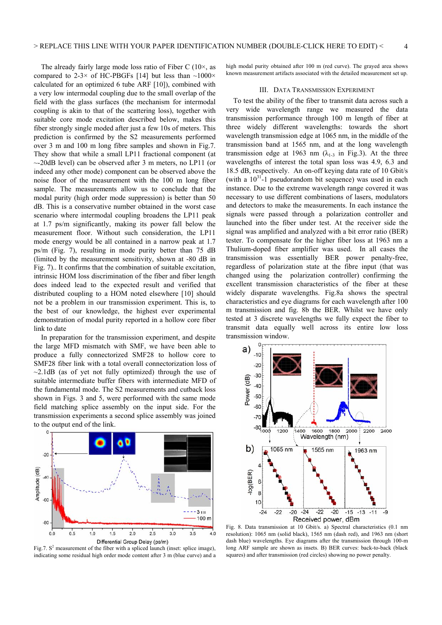The already fairly large mode loss ratio of Fiber C  $(10\times, \text{ as }$ compared to 2-3× of HC-PBGFs [14] but less than  $\sim$ 1000× calculated for an optimized 6 tube ARF [10]), combined with a very low intermodal coupling due to the small overlap of the field with the glass surfaces (the mechanism for intermodal coupling is akin to that of the scattering loss), together with suitable core mode excitation described below, makes this fiber strongly single moded after just a few 10s of meters. This prediction is confirmed by the S2 measurements performed over 3 m and 100 m long fibre samples and shown in Fig.7. They show that while a small LP11 fractional component (at ~-20dB level) can be observed after 3 m meters, no LP11 (or indeed any other mode) component can be observed above the noise floor of the measurement with the 100 m long fiber sample. The measurements allow us to conclude that the modal purity (high order mode suppression) is better than 50 dB. This is a conservative number obtained in the worst case scenario where intermodal coupling broadens the LP11 peak at 1.7 ps/m significantly, making its power fall below the measurement floor. Without such consideration, the LP11 mode energy would be all contained in a narrow peak at 1.7 ps/m (Fig. 7), resulting in mode purity better than 75 dB (limited by the measurement sensitivity, shown at -80 dB in Fig. 7).. It confirms that the combination of suitable excitation, intrinsic HOM loss discrimination of the fiber and fiber length does indeed lead to the expected result and verified that distributed coupling to a HOM noted elsewhere [10] should not be a problem in our transmission experiment. This is, to the best of our knowledge, the highest ever experimental demonstration of modal purity reported in a hollow core fiber link to date

In preparation for the transmission experiment, and despite the large MFD mismatch with SMF, we have been able to produce a fully connectorized SMF28 to hollow core to SMF28 fiber link with a total overall connectorization loss of  $\sim$ 2.1dB (as of yet not fully optimized) through the use of suitable intermediate buffer fibers with intermediate MFD of the fundamental mode. The S2 measurements and cutback loss shown in Figs. 3 and 5, were performed with the same mode field matching splice assembly on the input side. For the transmission experiments a second splice assembly was joined to the output end of the link.



Fig.7.  $S^2$  measurement of the fiber with a spliced launch (inset: splice image), indicating some residual high order mode content after 3 m (blue curve) and a

high modal purity obtained after 100 m (red curve). The grayed area shows known measurement artifacts associated with the detailed measurement set up.

#### III. DATA TRANSMISSION EXPERIMENT

To test the ability of the fiber to transmit data across such a very wide wavelength range we measured the data transmission performance through 100 m length of fiber at three widely different wavelengths: towards the short wavelength transmission edge at 1065 nm, in the middle of the transmission band at 1565 nm, and at the long wavelength transmission edge at 1963 nm ( $\lambda_{1-3}$  in Fig.3). At the three wavelengths of interest the total span loss was 4.9, 6.3 and 18.5 dB, respectively. An on-off keying data rate of 10 Gbit/s (with a  $10^{31}$ -1 pseudorandom bit sequence) was used in each instance. Due to the extreme wavelength range covered it was necessary to use different combinations of lasers, modulators and detectors to make the measurements. In each instance the signals were passed through a polarization controller and launched into the fiber under test. At the receiver side the signal was amplified and analyzed with a bit error ratio (BER) tester. To compensate for the higher fiber loss at 1963 nm a Thulium-doped fiber amplifier was used. In all cases the transmission was essentially BER power penalty-free, regardless of polarization state at the fibre input (that was changed using the polarization controller) confirming the excellent transmission characteristics of the fiber at these widely disparate wavelengths. Fig.8a shows the spectral characteristics and eye diagrams for each wavelength after 100 m transmission and fig. 8b the BER. Whilst we have only tested at 3 discrete wavelengths we fully expect the fiber to transmit data equally well across its entire low loss transmission window.



Fig. 8. Data transmission at 10 Gbit/s. a) Spectral characteristics (0.1 nm resolution): 1065 nm (solid black), 1565 nm (dash red), and 1963 nm (short dash blue) wavelengths. Eye diagrams after the transmission through 100-m long ARF sample are shown as insets. B) BER curves: back-to-back (black squares) and after transmission (red circles) showing no power penalty.